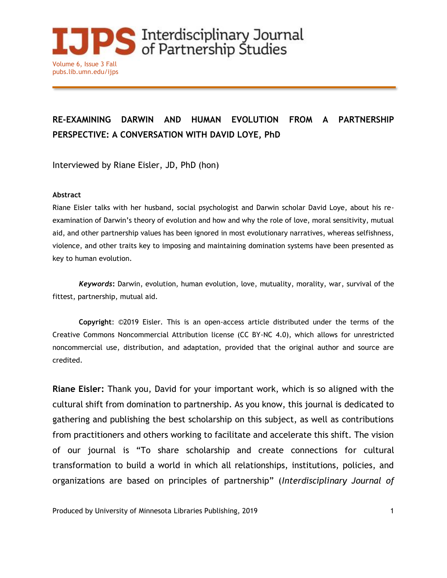

## **RE-EXAMINING DARWIN AND HUMAN EVOLUTION FROM A PARTNERSHIP PERSPECTIVE: A CONVERSATION WITH DAVID LOYE, PhD**

Interviewed by Riane Eisler, JD, PhD (hon)

## **Abstract**

Riane Eisler talks with her husband, social psychologist and Darwin scholar David Loye, about his reexamination of Darwin's theory of evolution and how and why the role of love, moral sensitivity, mutual aid, and other partnership values has been ignored in most evolutionary narratives, whereas selfishness, violence, and other traits key to imposing and maintaining domination systems have been presented as key to human evolution.

*Keywords***:** Darwin, evolution, human evolution, love, mutuality, morality, war, survival of the fittest, partnership, mutual aid.

**Copyright**: ©2019 Eisler. This is an open-access article distributed under the terms of the Creative Commons Noncommercial Attribution license (CC BY-NC 4.0), which allows for unrestricted noncommercial use, distribution, and adaptation, provided that the original author and source are credited.

**Riane Eisler:** Thank you, David for your important work, which is so aligned with the cultural shift from domination to partnership. As you know, this journal is dedicated to gathering and publishing the best scholarship on this subject, as well as contributions from practitioners and others working to facilitate and accelerate this shift. The vision of our journal is "To share scholarship and create connections for cultural transformation to build a world in which all relationships, institutions, policies, and organizations are based on principles of partnership" (*Interdisciplinary Journal of*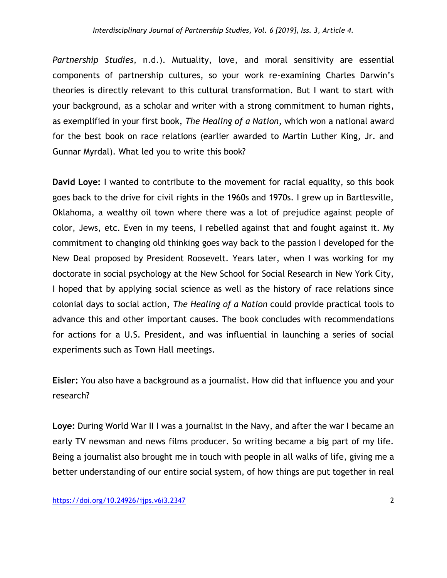*Partnership Studies*, n.d.). Mutuality, love, and moral sensitivity are essential components of partnership cultures, so your work re-examining Charles Darwin's theories is directly relevant to this cultural transformation. But I want to start with your background, as a scholar and writer with a strong commitment to human rights, as exemplified in your first book, *The Healing of a Nation*, which won a national award for the best book on race relations (earlier awarded to Martin Luther King, Jr. and Gunnar Myrdal). What led you to write this book?

**David Loye:** I wanted to contribute to the movement for racial equality, so this book goes back to the drive for civil rights in the 1960s and 1970s. I grew up in Bartlesville, Oklahoma, a wealthy oil town where there was a lot of prejudice against people of color, Jews, etc. Even in my teens, I rebelled against that and fought against it. My commitment to changing old thinking goes way back to the passion I developed for the New Deal proposed by President Roosevelt. Years later, when I was working for my doctorate in social psychology at the New School for Social Research in New York City, I hoped that by applying social science as well as the history of race relations since colonial days to social action, *The Healing of a Nation* could provide practical tools to advance this and other important causes. The book concludes with recommendations for actions for a U.S. President, and was influential in launching a series of social experiments such as Town Hall meetings.

**Eisler:** You also have a background as a journalist. How did that influence you and your research?

**Loye:** During World War II I was a journalist in the Navy, and after the war I became an early TV newsman and news films producer. So writing became a big part of my life. Being a journalist also brought me in touch with people in all walks of life, giving me a better understanding of our entire social system, of how things are put together in real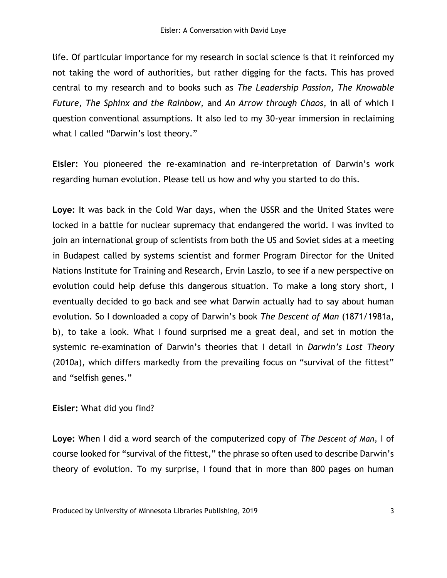life. Of particular importance for my research in social science is that it reinforced my not taking the word of authorities, but rather digging for the facts. This has proved central to my research and to books such as *The Leadership Passion, The Knowable Future, The Sphinx and the Rainbow,* and *An Arrow through Chaos*, in all of which I question conventional assumptions. It also led to my 30-year immersion in reclaiming what I called "Darwin's lost theory."

**Eisler:** You pioneered the re-examination and re-interpretation of Darwin's work regarding human evolution. Please tell us how and why you started to do this.

**Loye:** It was back in the Cold War days, when the USSR and the United States were locked in a battle for nuclear supremacy that endangered the world. I was invited to join an international group of scientists from both the US and Soviet sides at a meeting in Budapest called by systems scientist and former Program Director for the United Nations Institute for Training and Research, Ervin Laszlo, to see if a new perspective on evolution could help defuse this dangerous situation. To make a long story short, I eventually decided to go back and see what Darwin actually had to say about human evolution. So I downloaded a copy of Darwin's book *The Descent of Man* (1871/1981a, b), to take a look. What I found surprised me a great deal, and set in motion the systemic re-examination of Darwin's theories that I detail in *Darwin's Lost Theory* (2010a), which differs markedly from the prevailing focus on "survival of the fittest" and "selfish genes."

## **Eisler:** What did you find?

**Loye:** When I did a word search of the computerized copy of *The Descent of Man*, I of course looked for "survival of the fittest," the phrase so often used to describe Darwin's theory of evolution. To my surprise, I found that in more than 800 pages on human

Produced by University of Minnesota Libraries Publishing, 2019 3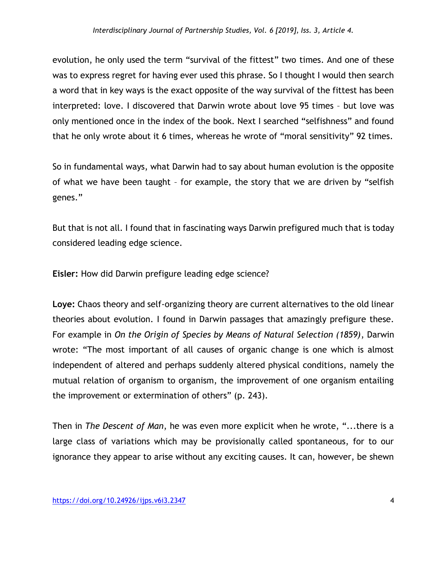evolution, he only used the term "survival of the fittest" two times. And one of these was to express regret for having ever used this phrase. So I thought I would then search a word that in key ways is the exact opposite of the way survival of the fittest has been interpreted: love. I discovered that Darwin wrote about love 95 times – but love was only mentioned once in the index of the book. Next I searched "selfishness" and found that he only wrote about it 6 times, whereas he wrote of "moral sensitivity" 92 times.

So in fundamental ways, what Darwin had to say about human evolution is the opposite of what we have been taught – for example, the story that we are driven by "selfish genes."

But that is not all. I found that in fascinating ways Darwin prefigured much that is today considered leading edge science.

**Eisler:** How did Darwin prefigure leading edge science?

**Loye:** Chaos theory and self-organizing theory are current alternatives to the old linear theories about evolution. I found in Darwin passages that amazingly prefigure these. For example in *On the Origin of Species by Means of Natural Selection (1859)*, Darwin wrote: "The most important of all causes of organic change is one which is almost independent of altered and perhaps suddenly altered physical conditions, namely the mutual relation of organism to organism, the improvement of one organism entailing the improvement or extermination of others" (p. 243).

Then in *The Descent of Man*, he was even more explicit when he wrote, "...there is a large class of variations which may be provisionally called spontaneous, for to our ignorance they appear to arise without any exciting causes. It can, however, be shewn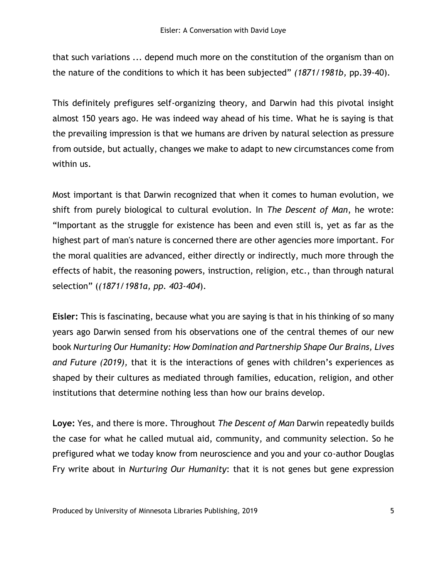that such variations ... depend much more on the constitution of the organism than on the nature of the conditions to which it has been subjected" *(1871/1981b,* pp.39-40).

This definitely prefigures self-organizing theory, and Darwin had this pivotal insight almost 150 years ago. He was indeed way ahead of his time. What he is saying is that the prevailing impression is that we humans are driven by natural selection as pressure from outside, but actually, changes we make to adapt to new circumstances come from within us.

Most important is that Darwin recognized that when it comes to human evolution, we shift from purely biological to cultural evolution. In *The Descent of Man*, he wrote: "Important as the struggle for existence has been and even still is, yet as far as the highest part of man's nature is concerned there are other agencies more important. For the moral qualities are advanced, either directly or indirectly, much more through the effects of habit, the reasoning powers, instruction, religion, etc., than through natural selection" (*(1871/1981a, pp. 403-404*).

**Eisler:** This is fascinating, because what you are saying is that in his thinking of so many years ago Darwin sensed from his observations one of the central themes of our new book *Nurturing Our Humanity: How Domination and Partnership Shape Our Brains, Lives and Future (2019),* that it is the interactions of genes with children's experiences as shaped by their cultures as mediated through families, education, religion, and other institutions that determine nothing less than how our brains develop.

**Loye:** Yes, and there is more. Throughout *The Descent of Man* Darwin repeatedly builds the case for what he called mutual aid, community, and community selection. So he prefigured what we today know from neuroscience and you and your co-author Douglas Fry write about in *Nurturing Our Humanity*: that it is not genes but gene expression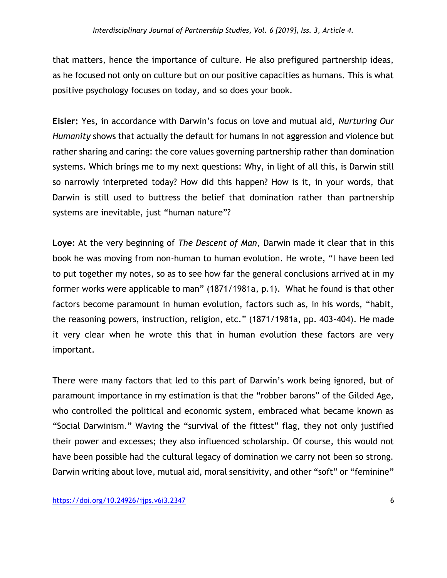that matters, hence the importance of culture. He also prefigured partnership ideas, as he focused not only on culture but on our positive capacities as humans. This is what positive psychology focuses on today, and so does your book.

**Eisler:** Yes, in accordance with Darwin's focus on love and mutual aid, *Nurturing Our Humanity* shows that actually the default for humans in not aggression and violence but rather sharing and caring: the core values governing partnership rather than domination systems. Which brings me to my next questions: Why, in light of all this, is Darwin still so narrowly interpreted today? How did this happen? How is it, in your words, that Darwin is still used to buttress the belief that domination rather than partnership systems are inevitable, just "human nature"?

**Loye:** At the very beginning of *The Descent of Man*, Darwin made it clear that in this book he was moving from non-human to human evolution. He wrote, "I have been led to put together my notes, so as to see how far the general conclusions arrived at in my former works were applicable to man" (1871/1981a, p.1). What he found is that other factors become paramount in human evolution, factors such as, in his words, "habit, the reasoning powers, instruction, religion, etc." (1871/1981a, pp. 403-404). He made it very clear when he wrote this that in human evolution these factors are very important.

There were many factors that led to this part of Darwin's work being ignored, but of paramount importance in my estimation is that the "robber barons" of the Gilded Age, who controlled the political and economic system, embraced what became known as "Social Darwinism." Waving the "survival of the fittest" flag, they not only justified their power and excesses; they also influenced scholarship. Of course, this would not have been possible had the cultural legacy of domination we carry not been so strong. Darwin writing about love, mutual aid, moral sensitivity, and other "soft" or "feminine"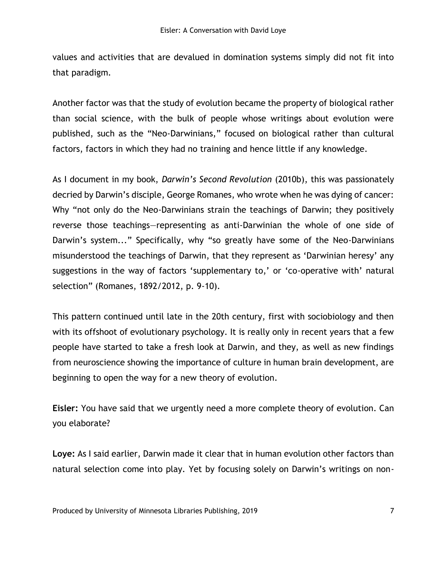values and activities that are devalued in domination systems simply did not fit into that paradigm.

Another factor was that the study of evolution became the property of biological rather than social science, with the bulk of people whose writings about evolution were published, such as the "Neo-Darwinians," focused on biological rather than cultural factors, factors in which they had no training and hence little if any knowledge.

As I document in my book, *Darwin's Second Revolution* (2010b), this was passionately decried by Darwin's disciple, George Romanes, who wrote when he was dying of cancer: Why "not only do the Neo-Darwinians strain the teachings of Darwin; they positively reverse those teachings—representing as anti-Darwinian the whole of one side of Darwin's system..." Specifically, why "so greatly have some of the Neo-Darwinians misunderstood the teachings of Darwin, that they represent as 'Darwinian heresy' any suggestions in the way of factors 'supplementary to,' or 'co-operative with' natural selection" (Romanes, 1892/2012, p. 9-10).

This pattern continued until late in the 20th century, first with sociobiology and then with its offshoot of evolutionary psychology. It is really only in recent years that a few people have started to take a fresh look at Darwin, and they, as well as new findings from neuroscience showing the importance of culture in human brain development, are beginning to open the way for a new theory of evolution.

**Eisler:** You have said that we urgently need a more complete theory of evolution. Can you elaborate?

**Loye:** As I said earlier, Darwin made it clear that in human evolution other factors than natural selection come into play. Yet by focusing solely on Darwin's writings on non-

Produced by University of Minnesota Libraries Publishing, 2019 7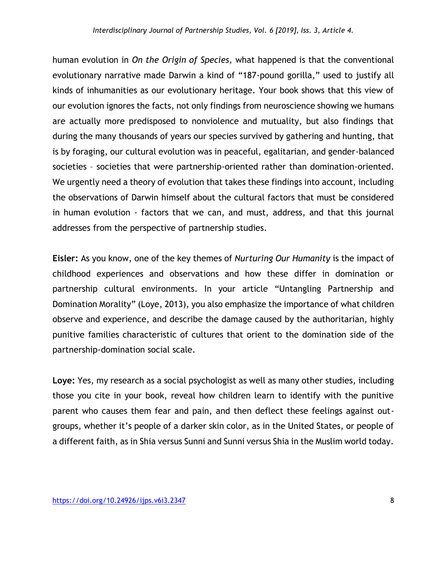human evolution in *On the Origin of Species,* what happened is that the conventional evolutionary narrative made Darwin a kind of "187-pound gorilla," used to justify all kinds of inhumanities as our evolutionary heritage. Your book shows that this view of our evolution ignores the facts, not only findings from neuroscience showing we humans are actually more predisposed to nonviolence and mutuality, but also findings that during the many thousands of years our species survived by gathering and hunting, that is by foraging, our cultural evolution was in peaceful, egalitarian, and gender-balanced societies – societies that were partnership-oriented rather than domination-oriented. We urgently need a theory of evolution that takes these findings into account, including the observations of Darwin himself about the cultural factors that must be considered in human evolution - factors that we can, and must, address, and that this journal addresses from the perspective of partnership studies.

**Eisler:** As you know, one of the key themes of *Nurturing Our Humanity* is the impact of childhood experiences and observations and how these differ in domination or partnership cultural environments. In your article "Untangling Partnership and Domination Morality" (Loye, 2013), you also emphasize the importance of what children observe and experience, and describe the damage caused by the authoritarian, highly punitive families characteristic of cultures that orient to the domination side of the partnership-domination social scale.

**Loye:** Yes, my research as a social psychologist as well as many other studies, including those you cite in your book, reveal how children learn to identify with the punitive parent who causes them fear and pain, and then deflect these feelings against outgroups, whether it's people of a darker skin color, as in the United States, or people of a different faith, as in Shia versus Sunni and Sunni versus Shia in the Muslim world today.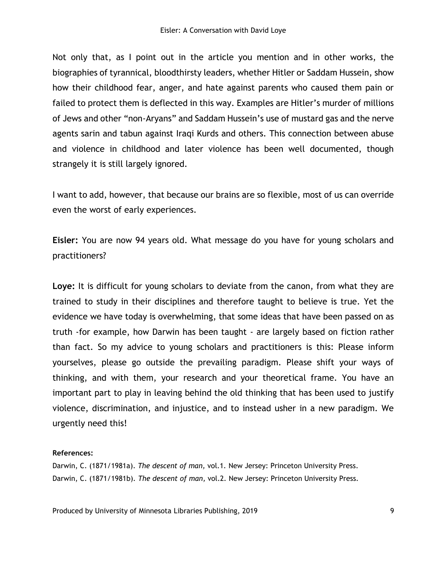Not only that, as I point out in the article you mention and in other works, the biographies of tyrannical, bloodthirsty leaders, whether Hitler or Saddam Hussein, show how their childhood fear, anger, and hate against parents who caused them pain or failed to protect them is deflected in this way. Examples are Hitler's murder of millions of Jews and other "non-Aryans" and Saddam Hussein's use of mustard gas and the nerve agents sarin and tabun against Iraqi Kurds and others. This connection between abuse and violence in childhood and later violence has been well documented, though strangely it is still largely ignored.

I want to add, however, that because our brains are so flexible, most of us can override even the worst of early experiences.

**Eisler:** You are now 94 years old. What message do you have for young scholars and practitioners?

**Loye:** It is difficult for young scholars to deviate from the canon, from what they are trained to study in their disciplines and therefore taught to believe is true. Yet the evidence we have today is overwhelming, that some ideas that have been passed on as truth -for example, how Darwin has been taught - are largely based on fiction rather than fact. So my advice to young scholars and practitioners is this: Please inform yourselves, please go outside the prevailing paradigm. Please shift your ways of thinking, and with them, your research and your theoretical frame. You have an important part to play in leaving behind the old thinking that has been used to justify violence, discrimination, and injustice, and to instead usher in a new paradigm. We urgently need this!

## **References:**

Darwin, C. (1871/1981a). *The descent of man,* vol.1*.* New Jersey: Princeton University Press. Darwin, C. (1871/1981b). *The descent of man,* vol.2*.* New Jersey: Princeton University Press.

Produced by University of Minnesota Libraries Publishing, 2019 99